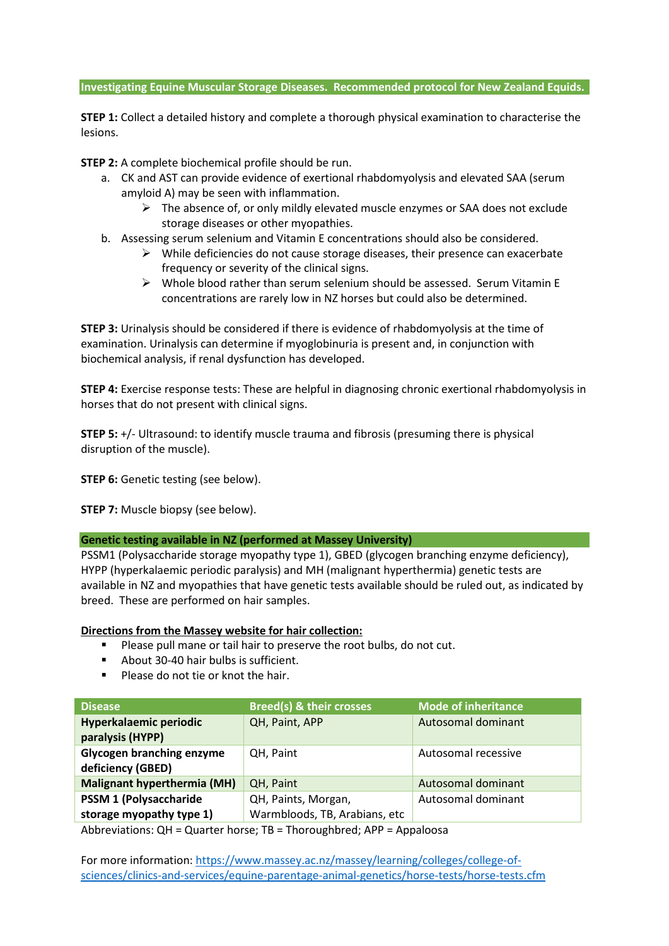### **Investigating Equine Muscular Storage Diseases. Recommended protocol for New Zealand Equids.**

**STEP 1:** Collect a detailed history and complete a thorough physical examination to characterise the lesions.

**STEP 2:** A complete biochemical profile should be run.

- a. CK and AST can provide evidence of exertional rhabdomyolysis and elevated SAA (serum amyloid A) may be seen with inflammation.
	- $\triangleright$  The absence of, or only mildly elevated muscle enzymes or SAA does not exclude storage diseases or other myopathies.
- b. Assessing serum selenium and Vitamin E concentrations should also be considered.
	- $\triangleright$  While deficiencies do not cause storage diseases, their presence can exacerbate frequency or severity of the clinical signs.
	- $\triangleright$  Whole blood rather than serum selenium should be assessed. Serum Vitamin E concentrations are rarely low in NZ horses but could also be determined.

**STEP 3:** Urinalysis should be considered if there is evidence of rhabdomyolysis at the time of examination. Urinalysis can determine if myoglobinuria is present and, in conjunction with biochemical analysis, if renal dysfunction has developed.

**STEP 4:** Exercise response tests: These are helpful in diagnosing chronic exertional rhabdomyolysis in horses that do not present with clinical signs.

**STEP 5:** +/- Ultrasound: to identify muscle trauma and fibrosis (presuming there is physical disruption of the muscle).

**STEP 6:** Genetic testing (see below).

**STEP 7:** Muscle biopsy (see below).

## **Genetic testing available in NZ (performed at Massey University)**

PSSM1 (Polysaccharide storage myopathy type 1), GBED (glycogen branching enzyme deficiency), HYPP (hyperkalaemic periodic paralysis) and MH (malignant hyperthermia) genetic tests are available in NZ and myopathies that have genetic tests available should be ruled out, as indicated by breed. These are performed on hair samples.

# **Directions from the Massey website for hair collection:**

- Please pull mane or tail hair to preserve the root bulbs, do not cut.
- **-** About 30-40 hair bulbs is sufficient.
- -Please do not tie or knot the hair.

| <b>Disease</b>                                                                                                                        | <b>Breed(s) &amp; their crosses</b> | <b>Mode of inheritance</b> |
|---------------------------------------------------------------------------------------------------------------------------------------|-------------------------------------|----------------------------|
| Hyperkalaemic periodic                                                                                                                | QH, Paint, APP                      | Autosomal dominant         |
| paralysis (HYPP)                                                                                                                      |                                     |                            |
| <b>Glycogen branching enzyme</b>                                                                                                      | QH, Paint                           | Autosomal recessive        |
| deficiency (GBED)                                                                                                                     |                                     |                            |
| <b>Malignant hyperthermia (MH)</b>                                                                                                    | QH, Paint                           | Autosomal dominant         |
| <b>PSSM 1 (Polysaccharide)</b>                                                                                                        | QH, Paints, Morgan,                 | Autosomal dominant         |
| storage myopathy type 1)                                                                                                              | Warmbloods, TB, Arabians, etc       |                            |
| Although the contract of the second contract $\mathbf{r}$ . The contract $\mathbf{r}$ and $\mathbf{r}$ are contracted as $\mathbf{r}$ |                                     |                            |

Abbreviations: QH = Quarter horse; TB = Thoroughbred; APP = Appaloosa

For more information: https://www.massey.ac.nz/massey/learning/colleges/college-ofsciences/clinics-and-services/equine-parentage-animal-genetics/horse-tests/horse-tests.cfm